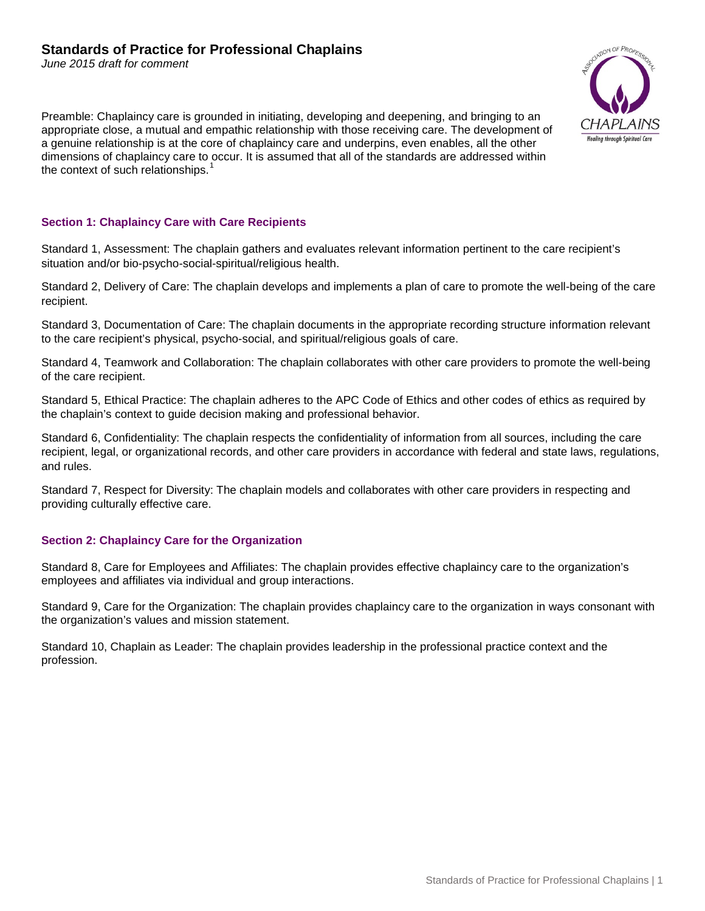*June 2015 draft for comment*

Preamble: Chaplaincy care is grounded in initiating, developing and deepening, and bringing to an appropriate close, a mutual and empathic relationship with those receiving care. The development of a genuine relationship is at the core of chaplaincy care and underpins, even enables, all the other dimensions of chaplaincy care to occur. It is assumed that all of the standards are addressed within the context of such relationships. $<sup>1</sup>$  $<sup>1</sup>$  $<sup>1</sup>$ </sup>



## **Section 1: Chaplaincy Care with Care Recipients**

Standard 1, Assessment: The chaplain gathers and evaluates relevant information pertinent to the care recipient's situation and/or bio-psycho-social-spiritual/religious health.

Standard 2, Delivery of Care: The chaplain develops and implements a plan of care to promote the well-being of the care recipient.

Standard 3, Documentation of Care: The chaplain documents in the appropriate recording structure information relevant to the care recipient's physical, psycho-social, and spiritual/religious goals of care.

Standard 4, Teamwork and Collaboration: The chaplain collaborates with other care providers to promote the well-being of the care recipient.

Standard 5, Ethical Practice: The chaplain adheres to the APC Code of Ethics and other codes of ethics as required by the chaplain's context to guide decision making and professional behavior.

Standard 6, Confidentiality: The chaplain respects the confidentiality of information from all sources, including the care recipient, legal, or organizational records, and other care providers in accordance with federal and state laws, regulations, and rules.

Standard 7, Respect for Diversity: The chaplain models and collaborates with other care providers in respecting and providing culturally effective care.

# **Section 2: Chaplaincy Care for the Organization**

Standard 8, Care for Employees and Affiliates: The chaplain provides effective chaplaincy care to the organization's employees and affiliates via individual and group interactions.

Standard 9, Care for the Organization: The chaplain provides chaplaincy care to the organization in ways consonant with the organization's values and mission statement.

Standard 10, Chaplain as Leader: The chaplain provides leadership in the professional practice context and the profession.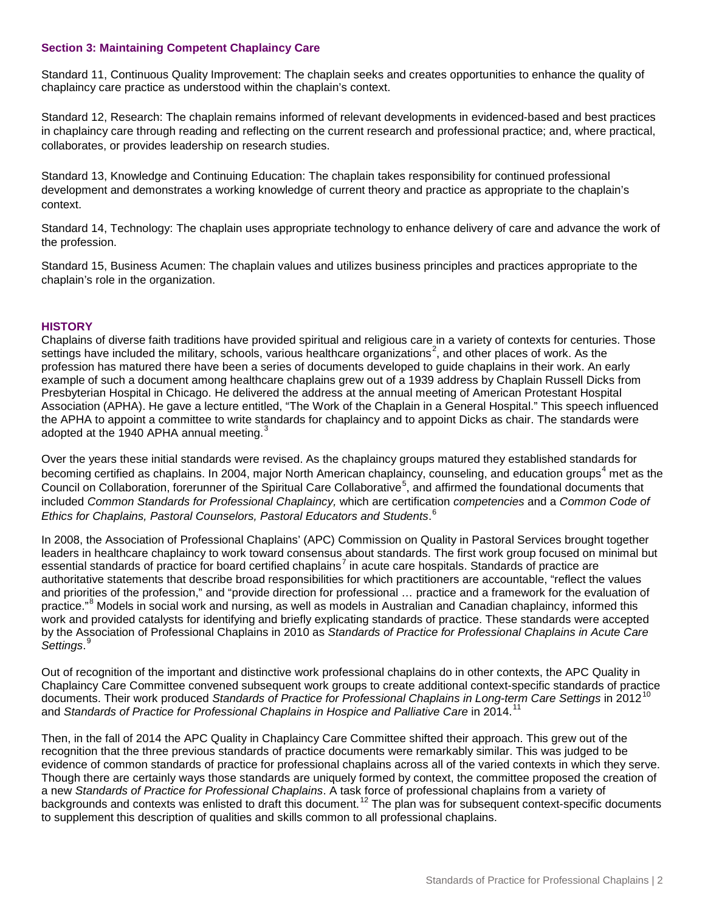## **Section 3: Maintaining Competent Chaplaincy Care**

Standard 11, Continuous Quality Improvement: The chaplain seeks and creates opportunities to enhance the quality of chaplaincy care practice as understood within the chaplain's context.

Standard 12, Research: The chaplain remains informed of relevant developments in evidenced-based and best practices in chaplaincy care through reading and reflecting on the current research and professional practice; and, where practical, collaborates, or provides leadership on research studies.

Standard 13, Knowledge and Continuing Education: The chaplain takes responsibility for continued professional development and demonstrates a working knowledge of current theory and practice as appropriate to the chaplain's context.

Standard 14, Technology: The chaplain uses appropriate technology to enhance delivery of care and advance the work of the profession.

Standard 15, Business Acumen: The chaplain values and utilizes business principles and practices appropriate to the chaplain's role in the organization.

#### **HISTORY**

Chaplains of diverse faith traditions have provided spiritual and religious care in a variety of contexts for centuries. Those settings have included the military, schools, various healthcare organizations<sup>[2](#page-3-1)</sup>, and other places of work. As the profession has matured there have been a series of documents developed to guide chaplains in their work. An early example of such a document among healthcare chaplains grew out of a 1939 address by Chaplain Russell Dicks from Presbyterian Hospital in Chicago. He delivered the address at the annual meeting of American Protestant Hospital Association (APHA). He gave a lecture entitled, "The Work of the Chaplain in a General Hospital." This speech influenced the APHA to appoint a committee to write standards for chaplaincy and to appoint Dicks as chair. The standards were adopted at the 1940 APHA annual meeting.<sup>[3](#page-3-2)</sup>

Over the years these initial standards were revised. As the chaplaincy groups matured they established standards for becoming certified as chaplains. In 200[4](#page-3-3), major North American chaplaincy, counseling, and education groups<sup>4</sup> met as the Council on Collaboration, forerunner of the Spiritual Care Collaborative<sup>[5](#page-3-4)</sup>, and affirmed the foundational documents that included *Common Standards for Professional Chaplaincy,* which are certification *competencies* and a *Common Code of Ethics for Chaplains, Pastoral Counselors, Pastoral Educators and Students*. [6](#page-3-5)

In 2008, the Association of Professional Chaplains' (APC) Commission on Quality in Pastoral Services brought together leaders in healthcare chaplaincy to work toward consensus about standards. The first work group focused on minimal but essential standards of practice for board certified chaplains<sup>[7](#page-3-6)</sup> in acute care hospitals. Standards of practice are authoritative statements that describe broad responsibilities for which practitioners are accountable, "reflect the values and priorities of the profession," and "provide direction for professional … practice and a framework for the evaluation of practice."[8](#page-3-7) Models in social work and nursing, as well as models in Australian and Canadian chaplaincy, informed this work and provided catalysts for identifying and briefly explicating standards of practice. These standards were accepted by the Association of Professional Chaplains in 2010 as *Standards of Practice for Professional Chaplains in Acute Care Settings*. [9](#page-3-8)

Out of recognition of the important and distinctive work professional chaplains do in other contexts, the APC Quality in Chaplaincy Care Committee convened subsequent work groups to create additional context-specific standards of practice documents. Their work produced Standards of Practice for Professional Chaplains in Long-term Care Settings in 2012<sup>[10](#page-3-9)</sup> and *Standards of Practice for Professional Chaplains in Hospice and Palliative Care in 2014.<sup>[11](#page-3-10)</sup>* 

Then, in the fall of 2014 the APC Quality in Chaplaincy Care Committee shifted their approach. This grew out of the recognition that the three previous standards of practice documents were remarkably similar. This was judged to be evidence of common standards of practice for professional chaplains across all of the varied contexts in which they serve. Though there are certainly ways those standards are uniquely formed by context, the committee proposed the creation of a new *Standards of Practice for Professional Chaplains*. A task force of professional chaplains from a variety of backgrounds and contexts was enlisted to draft this document.<sup>[12](#page-3-11)</sup> The plan was for subsequent context-specific documents to supplement this description of qualities and skills common to all professional chaplains.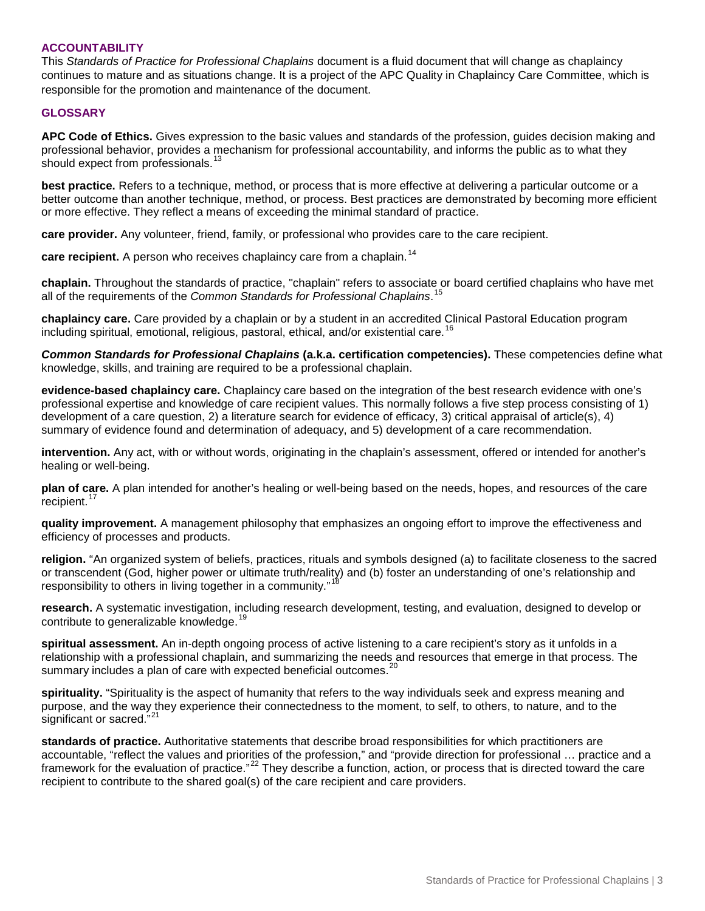## **ACCOUNTABILITY**

This *Standards of Practice for Professional Chaplains* document is a fluid document that will change as chaplaincy continues to mature and as situations change. It is a project of the APC Quality in Chaplaincy Care Committee, which is responsible for the promotion and maintenance of the document.

#### **GLOSSARY**

**APC Code of Ethics.** Gives expression to the basic values and standards of the profession, guides decision making and professional behavior, provides a mechanism for professional accountability, and informs the public as to what they should expect from professionals.<sup>[13](#page-3-12)</sup>

**best practice.** Refers to a technique, method, or process that is more effective at delivering a particular outcome or a better outcome than another technique, method, or process. Best practices are demonstrated by becoming more efficient or more effective. They reflect a means of exceeding the minimal standard of practice.

**care provider.** Any volunteer, friend, family, or professional who provides care to the care recipient.

**care recipient.** A person who receives chaplaincy care from a chaplain. [14](#page-3-13)

**chaplain.** Throughout the standards of practice, "chaplain" refers to associate or board certified chaplains who have met all of the requirements of the *Common Standards for Professional Chaplains*. [15](#page-3-14)

**chaplaincy care.** Care provided by a chaplain or by a student in an accredited Clinical Pastoral Education program including spiritual, emotional, religious, pastoral, ethical, and/or existential care. [16](#page-3-15)

*Common Standards for Professional Chaplains* **(a.k.a. certification competencies).** These competencies define what knowledge, skills, and training are required to be a professional chaplain.

**evidence-based chaplaincy care.** Chaplaincy care based on the integration of the best research evidence with one's professional expertise and knowledge of care recipient values. This normally follows a five step process consisting of 1) development of a care question, 2) a literature search for evidence of efficacy, 3) critical appraisal of article(s), 4) summary of evidence found and determination of adequacy, and 5) development of a care recommendation.

**intervention.** Any act, with or without words, originating in the chaplain's assessment, offered or intended for another's healing or well-being.

**plan of care.** A plan intended for another's healing or well-being based on the needs, hopes, and resources of the care recipient.<sup>[17](#page-3-16)</sup>

**quality improvement.** A management philosophy that emphasizes an ongoing effort to improve the effectiveness and efficiency of processes and products.

**religion.** "An organized system of beliefs, practices, rituals and symbols designed (a) to facilitate closeness to the sacred or transcendent (God, higher power or ultimate truth/reality) and (b) foster an understanding of one's relationship and responsibility to others in living together in a community."<sup>[18](#page-3-17)</sup>

**research.** A systematic investigation, including research development, testing, and evaluation, designed to develop or contribute to generalizable knowledge.<sup>1</sup>

**spiritual assessment.** An in-depth ongoing process of active listening to a care recipient's story as it unfolds in a relationship with a professional chaplain, and summarizing the needs and resources that emerge in that process. The summary includes a plan of care with expected beneficial outcomes.<sup>[20](#page-3-19)</sup>

**spirituality.** "Spirituality is the aspect of humanity that refers to the way individuals seek and express meaning and purpose, and the way they experience their connectedness to the moment, to self, to others, to nature, and to the significant or sacred."<sup>[21](#page-3-20)</sup>

**standards of practice.** Authoritative statements that describe broad responsibilities for which practitioners are accountable, "reflect the values and priorities of the profession," and "provide direction for professional … practice and a framework for the evaluation of practice."<sup>[22](#page-3-21)</sup> They describe a function, action, or process that is directed toward the care recipient to contribute to the shared goal(s) of the care recipient and care providers.